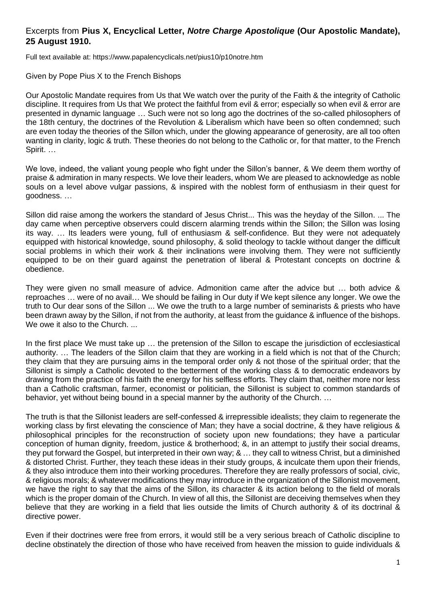## Excerpts from **Pius X, Encyclical Letter,** *Notre Charge Apostolique* **(Our Apostolic Mandate), 25 August 1910.**

Full text available at: https://www.papalencyclicals.net/pius10/p10notre.htm

## Given by Pope Pius X to the French Bishops

Our Apostolic Mandate requires from Us that We watch over the purity of the Faith & the integrity of Catholic discipline. It requires from Us that We protect the faithful from evil & error; especially so when evil & error are presented in dynamic language … Such were not so long ago the doctrines of the so-called philosophers of the 18th century, the doctrines of the Revolution & Liberalism which have been so often condemned; such are even today the theories of the Sillon which, under the glowing appearance of generosity, are all too often wanting in clarity, logic & truth. These theories do not belong to the Catholic or, for that matter, to the French Spirit. …

We love, indeed, the valiant young people who fight under the Sillon's banner, & We deem them worthy of praise & admiration in many respects. We love their leaders, whom We are pleased to acknowledge as noble souls on a level above vulgar passions, & inspired with the noblest form of enthusiasm in their quest for goodness. …

Sillon did raise among the workers the standard of Jesus Christ... This was the heyday of the Sillon. ... The day came when perceptive observers could discern alarming trends within the Sillon; the Sillon was losing its way. … Its leaders were young, full of enthusiasm & self-confidence. But they were not adequately equipped with historical knowledge, sound philosophy, & solid theology to tackle without danger the difficult social problems in which their work & their inclinations were involving them. They were not sufficiently equipped to be on their guard against the penetration of liberal & Protestant concepts on doctrine & obedience.

They were given no small measure of advice. Admonition came after the advice but … both advice & reproaches … were of no avail… We should be failing in Our duty if We kept silence any longer. We owe the truth to Our dear sons of the Sillon ... We owe the truth to a large number of seminarists & priests who have been drawn away by the Sillon, if not from the authority, at least from the guidance & influence of the bishops. We owe it also to the Church. ...

In the first place We must take up … the pretension of the Sillon to escape the jurisdiction of ecclesiastical authority. … The leaders of the Sillon claim that they are working in a field which is not that of the Church; they claim that they are pursuing aims in the temporal order only & not those of the spiritual order; that the Sillonist is simply a Catholic devoted to the betterment of the working class & to democratic endeavors by drawing from the practice of his faith the energy for his selfless efforts. They claim that, neither more nor less than a Catholic craftsman, farmer, economist or politician, the Sillonist is subject to common standards of behavior, yet without being bound in a special manner by the authority of the Church. …

The truth is that the Sillonist leaders are self-confessed & irrepressible idealists; they claim to regenerate the working class by first elevating the conscience of Man; they have a social doctrine, & they have religious & philosophical principles for the reconstruction of society upon new foundations; they have a particular conception of human dignity, freedom, justice & brotherhood; &, in an attempt to justify their social dreams, they put forward the Gospel, but interpreted in their own way; & … they call to witness Christ, but a diminished & distorted Christ. Further, they teach these ideas in their study groups, & inculcate them upon their friends, & they also introduce them into their working procedures. Therefore they are really professors of social, civic, & religious morals; & whatever modifications they may introduce in the organization of the Sillonist movement, we have the right to say that the aims of the Sillon, its character & its action belong to the field of morals which is the proper domain of the Church. In view of all this, the Sillonist are deceiving themselves when they believe that they are working in a field that lies outside the limits of Church authority & of its doctrinal & directive power.

Even if their doctrines were free from errors, it would still be a very serious breach of Catholic discipline to decline obstinately the direction of those who have received from heaven the mission to guide individuals &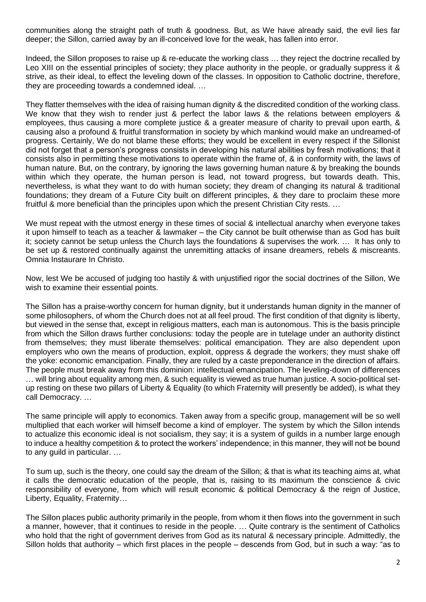communities along the straight path of truth & goodness. But, as We have already said, the evil lies far deeper; the Sillon, carried away by an ill-conceived love for the weak, has fallen into error.

Indeed, the Sillon proposes to raise up & re-educate the working class … they reject the doctrine recalled by Leo XIII on the essential principles of society; they place authority in the people, or gradually suppress it & strive, as their ideal, to effect the leveling down of the classes. In opposition to Catholic doctrine, therefore, they are proceeding towards a condemned ideal. …

They flatter themselves with the idea of raising human dignity & the discredited condition of the working class. We know that they wish to render just & perfect the labor laws & the relations between employers & employees, thus causing a more complete justice & a greater measure of charity to prevail upon earth, & causing also a profound & fruitful transformation in society by which mankind would make an undreamed-of progress. Certainly, We do not blame these efforts; they would be excellent in every respect if the Sillonist did not forget that a person's progress consists in developing his natural abilities by fresh motivations; that it consists also in permitting these motivations to operate within the frame of, & in conformity with, the laws of human nature. But, on the contrary, by ignoring the laws governing human nature & by breaking the bounds within which they operate, the human person is lead, not toward progress, but towards death. This, nevertheless, is what they want to do with human society; they dream of changing its natural & traditional foundations; they dream of a Future City built on different principles, & they dare to proclaim these more fruitful & more beneficial than the principles upon which the present Christian City rests. …

We must repeat with the utmost energy in these times of social & intellectual anarchy when everyone takes it upon himself to teach as a teacher & lawmaker – the City cannot be built otherwise than as God has built it; society cannot be setup unless the Church lays the foundations & supervises the work. … It has only to be set up & restored continually against the unremitting attacks of insane dreamers, rebels & miscreants. Omnia Instaurare In Christo.

Now, lest We be accused of judging too hastily & with unjustified rigor the social doctrines of the Sillon, We wish to examine their essential points.

The Sillon has a praise-worthy concern for human dignity, but it understands human dignity in the manner of some philosophers, of whom the Church does not at all feel proud. The first condition of that dignity is liberty, but viewed in the sense that, except in religious matters, each man is autonomous. This is the basis principle from which the Sillon draws further conclusions: today the people are in tutelage under an authority distinct from themselves; they must liberate themselves: political emancipation. They are also dependent upon employers who own the means of production, exploit, oppress & degrade the workers; they must shake off the yoke: economic emancipation. Finally, they are ruled by a caste preponderance in the direction of affairs. The people must break away from this dominion: intellectual emancipation. The leveling-down of differences … will bring about equality among men, & such equality is viewed as true human justice. A socio-political setup resting on these two pillars of Liberty & Equality (to which Fraternity will presently be added), is what they call Democracy. …

The same principle will apply to economics. Taken away from a specific group, management will be so well multiplied that each worker will himself become a kind of employer. The system by which the Sillon intends to actualize this economic ideal is not socialism, they say; it is a system of guilds in a number large enough to induce a healthy competition & to protect the workers' independence; in this manner, they will not be bound to any guild in particular. …

To sum up, such is the theory, one could say the dream of the Sillon; & that is what its teaching aims at, what it calls the democratic education of the people, that is, raising to its maximum the conscience & civic responsibility of everyone, from which will result economic & political Democracy & the reign of Justice, Liberty, Equality, Fraternity…

The Sillon places public authority primarily in the people, from whom it then flows into the government in such a manner, however, that it continues to reside in the people. … Quite contrary is the sentiment of Catholics who hold that the right of government derives from God as its natural & necessary principle. Admittedly, the Sillon holds that authority – which first places in the people – descends from God, but in such a way: "as to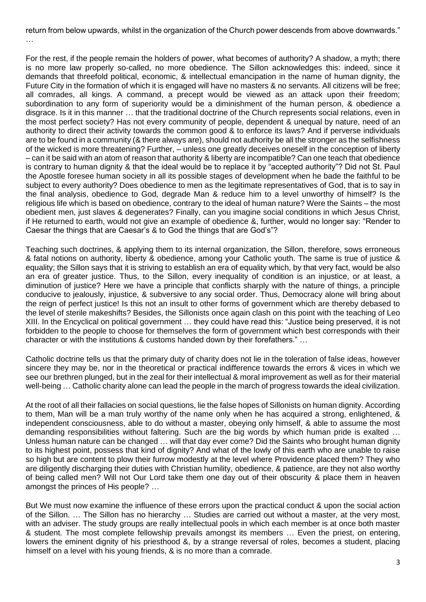return from below upwards, whilst in the organization of the Church power descends from above downwards." …

For the rest, if the people remain the holders of power, what becomes of authority? A shadow, a myth; there is no more law properly so-called, no more obedience. The Sillon acknowledges this: indeed, since it demands that threefold political, economic, & intellectual emancipation in the name of human dignity, the Future City in the formation of which it is engaged will have no masters & no servants. All citizens will be free; all comrades, all kings. A command, a precept would be viewed as an attack upon their freedom; subordination to any form of superiority would be a diminishment of the human person, & obedience a disgrace. Is it in this manner … that the traditional doctrine of the Church represents social relations, even in the most perfect society? Has not every community of people, dependent & unequal by nature, need of an authority to direct their activity towards the common good & to enforce its laws? And if perverse individuals are to be found in a community (& there always are), should not authority be all the stronger as the selfishness of the wicked is more threatening? Further, – unless one greatly deceives oneself in the conception of liberty – can it be said with an atom of reason that authority & liberty are incompatible? Can one teach that obedience is contrary to human dignity & that the ideal would be to replace it by "accepted authority"? Did not St. Paul the Apostle foresee human society in all its possible stages of development when he bade the faithful to be subject to every authority? Does obedience to men as the legitimate representatives of God, that is to say in the final analysis, obedience to God, degrade Man & reduce him to a level unworthy of himself? Is the religious life which is based on obedience, contrary to the ideal of human nature? Were the Saints – the most obedient men, just slaves & degenerates? Finally, can you imagine social conditions in which Jesus Christ, if He returned to earth, would not give an example of obedience &, further, would no longer say: "Render to Caesar the things that are Caesar's & to God the things that are God's"?

Teaching such doctrines, & applying them to its internal organization, the Sillon, therefore, sows erroneous & fatal notions on authority, liberty & obedience, among your Catholic youth. The same is true of justice & equality; the Sillon says that it is striving to establish an era of equality which, by that very fact, would be also an era of greater justice. Thus, to the Sillon, every inequality of condition is an injustice, or at least, a diminution of justice? Here we have a principle that conflicts sharply with the nature of things, a principle conducive to jealously, injustice, & subversive to any social order. Thus, Democracy alone will bring about the reign of perfect justice! Is this not an insult to other forms of government which are thereby debased to the level of sterile makeshifts? Besides, the Sillonists once again clash on this point with the teaching of Leo XIII. In the Encyclical on political government … they could have read this: "Justice being preserved, it is not forbidden to the people to choose for themselves the form of government which best corresponds with their character or with the institutions & customs handed down by their forefathers." …

Catholic doctrine tells us that the primary duty of charity does not lie in the toleration of false ideas, however sincere they may be, nor in the theoretical or practical indifference towards the errors & vices in which we see our brethren plunged, but in the zeal for their intellectual & moral improvement as well as for their material well-being ... Catholic charity alone can lead the people in the march of progress towards the ideal civilization.

At the root of all their fallacies on social questions, lie the false hopes of Sillonists on human dignity. According to them, Man will be a man truly worthy of the name only when he has acquired a strong, enlightened, & independent consciousness, able to do without a master, obeying only himself, & able to assume the most demanding responsibilities without faltering. Such are the big words by which human pride is exalted … Unless human nature can be changed … will that day ever come? Did the Saints who brought human dignity to its highest point, possess that kind of dignity? And what of the lowly of this earth who are unable to raise so high but are content to plow their furrow modestly at the level where Providence placed them? They who are diligently discharging their duties with Christian humility, obedience, & patience, are they not also worthy of being called men? Will not Our Lord take them one day out of their obscurity & place them in heaven amongst the princes of His people? …

But We must now examine the influence of these errors upon the practical conduct & upon the social action of the Sillon. … The Sillon has no hierarchy … Studies are carried out without a master, at the very most, with an adviser. The study groups are really intellectual pools in which each member is at once both master & student. The most complete fellowship prevails amongst its members … Even the priest, on entering, lowers the eminent dignity of his priesthood &, by a strange reversal of roles, becomes a student, placing himself on a level with his young friends, & is no more than a comrade.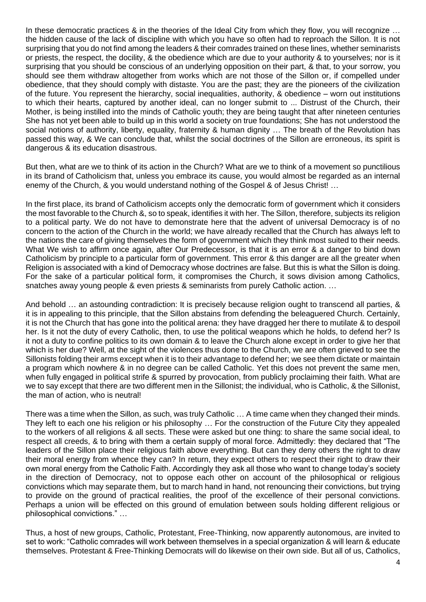In these democratic practices & in the theories of the Ideal City from which they flow, you will recognize … the hidden cause of the lack of discipline with which you have so often had to reproach the Sillon. It is not surprising that you do not find among the leaders & their comrades trained on these lines, whether seminarists or priests, the respect, the docility, & the obedience which are due to your authority & to yourselves; nor is it surprising that you should be conscious of an underlying opposition on their part, & that, to your sorrow, you should see them withdraw altogether from works which are not those of the Sillon or, if compelled under obedience, that they should comply with distaste. You are the past; they are the pioneers of the civilization of the future. You represent the hierarchy, social inequalities, authority, & obedience – worn out institutions to which their hearts, captured by another ideal, can no longer submit to ... Distrust of the Church, their Mother, is being instilled into the minds of Catholic youth; they are being taught that after nineteen centuries She has not yet been able to build up in this world a society on true foundations; She has not understood the social notions of authority, liberty, equality, fraternity & human dignity ... The breath of the Revolution has passed this way, & We can conclude that, whilst the social doctrines of the Sillon are erroneous, its spirit is dangerous & its education disastrous.

But then, what are we to think of its action in the Church? What are we to think of a movement so punctilious in its brand of Catholicism that, unless you embrace its cause, you would almost be regarded as an internal enemy of the Church, & you would understand nothing of the Gospel & of Jesus Christ! …

In the first place, its brand of Catholicism accepts only the democratic form of government which it considers the most favorable to the Church &, so to speak, identifies it with her. The Sillon, therefore, subjects its religion to a political party. We do not have to demonstrate here that the advent of universal Democracy is of no concern to the action of the Church in the world; we have already recalled that the Church has always left to the nations the care of giving themselves the form of government which they think most suited to their needs. What We wish to affirm once again, after Our Predecessor, is that it is an error & a danger to bind down Catholicism by principle to a particular form of government. This error & this danger are all the greater when Religion is associated with a kind of Democracy whose doctrines are false. But this is what the Sillon is doing. For the sake of a particular political form, it compromises the Church, it sows division among Catholics, snatches away young people & even priests & seminarists from purely Catholic action. …

And behold ... an astounding contradiction: It is precisely because religion ought to transcend all parties, & it is in appealing to this principle, that the Sillon abstains from defending the beleaguered Church. Certainly, it is not the Church that has gone into the political arena: they have dragged her there to mutilate & to despoil her. Is it not the duty of every Catholic, then, to use the political weapons which he holds, to defend her? Is it not a duty to confine politics to its own domain & to leave the Church alone except in order to give her that which is her due? Well, at the sight of the violences thus done to the Church, we are often grieved to see the Sillonists folding their arms except when it is to their advantage to defend her; we see them dictate or maintain a program which nowhere & in no degree can be called Catholic. Yet this does not prevent the same men, when fully engaged in political strife & spurred by provocation, from publicly proclaiming their faith. What are we to say except that there are two different men in the Sillonist; the individual, who is Catholic, & the Sillonist, the man of action, who is neutral!

There was a time when the Sillon, as such, was truly Catholic … A time came when they changed their minds. They left to each one his religion or his philosophy … For the construction of the Future City they appealed to the workers of all religions & all sects. These were asked but one thing: to share the same social ideal, to respect all creeds, & to bring with them a certain supply of moral force. Admittedly: they declared that "The leaders of the Sillon place their religious faith above everything. But can they deny others the right to draw their moral energy from whence they can? In return, they expect others to respect their right to draw their own moral energy from the Catholic Faith. Accordingly they ask all those who want to change today's society in the direction of Democracy, not to oppose each other on account of the philosophical or religious convictions which may separate them, but to march hand in hand, not renouncing their convictions, but trying to provide on the ground of practical realities, the proof of the excellence of their personal convictions. Perhaps a union will be effected on this ground of emulation between souls holding different religious or philosophical convictions." …

Thus, a host of new groups, Catholic, Protestant, Free-Thinking, now apparently autonomous, are invited to set to work: "Catholic comrades will work between themselves in a special organization & will learn & educate themselves. Protestant & Free-Thinking Democrats will do likewise on their own side. But all of us, Catholics,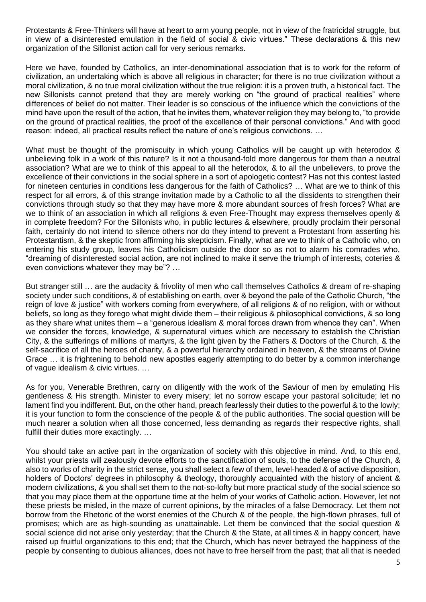Protestants & Free-Thinkers will have at heart to arm young people, not in view of the fratricidal struggle, but in view of a disinterested emulation in the field of social & civic virtues." These declarations & this new organization of the Sillonist action call for very serious remarks.

Here we have, founded by Catholics, an inter-denominational association that is to work for the reform of civilization, an undertaking which is above all religious in character; for there is no true civilization without a moral civilization, & no true moral civilization without the true religion: it is a proven truth, a historical fact. The new Sillonists cannot pretend that they are merely working on "the ground of practical realities" where differences of belief do not matter. Their leader is so conscious of the influence which the convictions of the mind have upon the result of the action, that he invites them, whatever religion they may belong to, "to provide on the ground of practical realities, the proof of the excellence of their personal convictions." And with good reason: indeed, all practical results reflect the nature of one's religious convictions. …

What must be thought of the promiscuity in which young Catholics will be caught up with heterodox & unbelieving folk in a work of this nature? Is it not a thousand-fold more dangerous for them than a neutral association? What are we to think of this appeal to all the heterodox, & to all the unbelievers, to prove the excellence of their convictions in the social sphere in a sort of apologetic contest? Has not this contest lasted for nineteen centuries in conditions less dangerous for the faith of Catholics? … What are we to think of this respect for all errors, & of this strange invitation made by a Catholic to all the dissidents to strengthen their convictions through study so that they may have more & more abundant sources of fresh forces? What are we to think of an association in which all religions & even Free-Thought may express themselves openly & in complete freedom? For the Sillonists who, in public lectures & elsewhere, proudly proclaim their personal faith, certainly do not intend to silence others nor do they intend to prevent a Protestant from asserting his Protestantism, & the skeptic from affirming his skepticism. Finally, what are we to think of a Catholic who, on entering his study group, leaves his Catholicism outside the door so as not to alarm his comrades who, "dreaming of disinterested social action, are not inclined to make it serve the triumph of interests, coteries & even convictions whatever they may be"? …

But stranger still … are the audacity & frivolity of men who call themselves Catholics & dream of re-shaping society under such conditions, & of establishing on earth, over & beyond the pale of the Catholic Church, "the reign of love & justice" with workers coming from everywhere, of all religions & of no religion, with or without beliefs, so long as they forego what might divide them – their religious & philosophical convictions, & so long as they share what unites them – a "generous idealism & moral forces drawn from whence they can". When we consider the forces, knowledge, & supernatural virtues which are necessary to establish the Christian City, & the sufferings of millions of martyrs, & the light given by the Fathers & Doctors of the Church, & the self-sacrifice of all the heroes of charity, & a powerful hierarchy ordained in heaven, & the streams of Divine Grace … it is frightening to behold new apostles eagerly attempting to do better by a common interchange of vague idealism & civic virtues. …

As for you, Venerable Brethren, carry on diligently with the work of the Saviour of men by emulating His gentleness & His strength. Minister to every misery; let no sorrow escape your pastoral solicitude; let no lament find you indifferent. But, on the other hand, preach fearlessly their duties to the powerful & to the lowly; it is your function to form the conscience of the people & of the public authorities. The social question will be much nearer a solution when all those concerned, less demanding as regards their respective rights, shall fulfill their duties more exactingly. …

You should take an active part in the organization of society with this objective in mind. And, to this end, whilst your priests will zealously devote efforts to the sanctification of souls, to the defense of the Church, & also to works of charity in the strict sense, you shall select a few of them, level-headed & of active disposition, holders of Doctors' degrees in philosophy & theology, thoroughly acquainted with the history of ancient & modern civilizations, & you shall set them to the not-so-lofty but more practical study of the social science so that you may place them at the opportune time at the helm of your works of Catholic action. However, let not these priests be misled, in the maze of current opinions, by the miracles of a false Democracy. Let them not borrow from the Rhetoric of the worst enemies of the Church & of the people, the high-flown phrases, full of promises; which are as high-sounding as unattainable. Let them be convinced that the social question & social science did not arise only yesterday; that the Church & the State, at all times & in happy concert, have raised up fruitful organizations to this end; that the Church, which has never betrayed the happiness of the people by consenting to dubious alliances, does not have to free herself from the past; that all that is needed